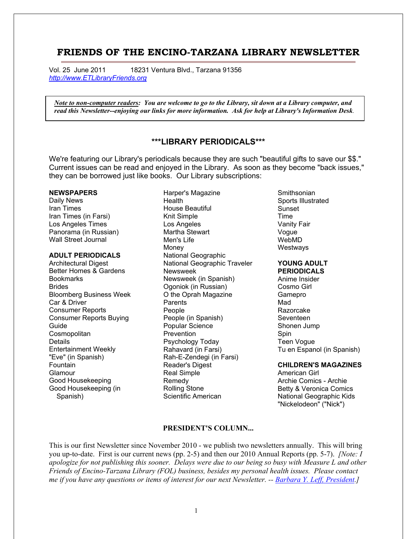# **FRIENDS OF THE ENCINO-TARZANA LIBRARY NEWSLETTER**

Vol. 25 June 2011 18231 Ventura Blvd., Tarzana 91356 *[http://www.ETLibraryFriends.org](http://www.etlibraryfriends.org/)*

 *Note to non-computer readers: You are welcome to go to the Library, sit down at a Library computer, and read this Newsletter--enjoying our links for more information. Ask for help at Library's Information Desk.*

# **\*\*\*LIBRARY PERIODICALS\*\*\***

We're featuring our Library's periodicals because they are such "beautiful gifts to save our \$\$." Current issues can be read and enjoyed in the Library. As soon as they become "back issues," they can be borrowed just like books. Our Library subscriptions:

#### **NEWSPAPERS**

Daily News Iran Times Iran Times (in Farsi) Los Angeles Times Panorama (in Russian) Wall Street Journal

## **ADULT PERIODICALS**

Architectural Digest Better Homes & Gardens **Bookmarks Brides** Bloomberg Business Week Car & Driver Consumer Reports Consumer Reports Buying Guide **Cosmopolitan Details** Entertainment Weekly "Eve" (in Spanish) Fountain Glamour Good Housekeeping Good Housekeeping (in Spanish)

Harper's Magazine **Health** House Beautiful Knit Simple Los Angeles Martha Stewart Men's Life Money National Geographic National Geographic Traveler Newsweek Newsweek (in Spanish) Ogoniok (in Russian) O the Oprah Magazine Parents People People (in Spanish) Popular Science **Prevention** Psychology Today Rahavard (in Farsi) Rah-E-Zendegi (in Farsi) Reader's Digest Real Simple Remedy Rolling Stone Scientific American

**Smithsonian** Sports Illustrated Sunset Time Vanity Fair Vogue WebMD **Westways** 

#### **YOUNG ADULT PERIODICALS**

Anime Insider Cosmo Girl Gamepro Mad Razorcake Seventeen Shonen Jump Spin Teen Vogue Tu en Espanol (in Spanish)

#### **CHILDREN'S MAGAZINES**

American Girl Archie Comics - Archie Betty & Veronica Comics National Geographic Kids "Nickelodeon" ("Nick")

# **PRESIDENT'S COLUMN...**

This is our first Newsletter since November 2010 - we publish two newsletters annually. This will bring you up-to-date. First is our current news (pp. 2-5) and then our 2010 Annual Reports (pp. 5-7). *[Note: I apologize for not publishing this sooner. Delays were due to our being so busy with Measure L and other Friends of Encino-Tarzana Library (FOL) business, besides my personal health issues. Please contact me if you have any questions or items of interest for our next Newsletter. -- [Barbara Y. Leff, President.](mailto:president@etlibraryfriends.org)]*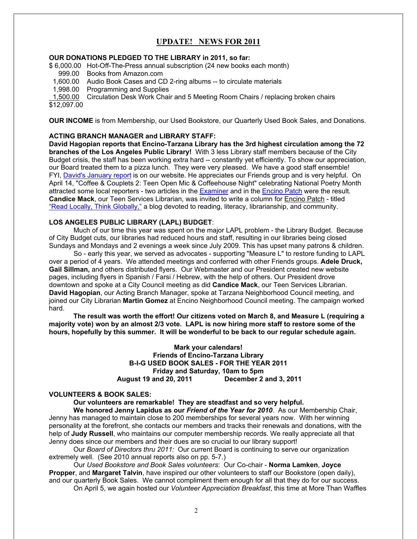# **UPDATE! NEWS FOR 2011**

# **OUR DONATIONS PLEDGED TO THE LIBRARY in 2011, so far:**

\$ 6,000.00 Hot-Off-The-Press annual subscription (24 new books each month)

- 999.00 Books from Amazon.com
- 1,600.00 Audio Book Cases and CD 2-ring albums -- to circulate materials
- 1,998.00 Programming and Supplies

1,500.00 Circulation Desk Work Chair and 5 Meeting Room Chairs / replacing broken chairs

\$12,097.00

**OUR INCOME** is from Membership, our Used Bookstore, our Quarterly Used Book Sales, and Donations.

# **ACTING BRANCH MANAGER and LIBRARY STAFF:**

**David Hagopian reports that Encino-Tarzana Library has the 3rd highest circulation among the 72 branches of the Los Angeles Public Library!** With 3 less Library staff members because of the City Budget crisis, the staff has been working extra hard -- constantly yet efficiently. To show our appreciation, our Board treated them to a pizza lunch. They were very pleased. We have a good staff ensemble! FYI, [David's January report](http://www.etlibraryfriends.org/2librarian.html) is on our website. He appreciates our Friends group and is very helpful. On April 14, "Coffee & Couplets 2: Teen Open Mic & Coffeehouse Night" celebrating National Poetry Month attracted some local reporters - two articles in the **Examiner** and in the **Encino Patch** were the result. **Candice Mack**, our Teen Services Librarian, was invited to write a column for Encino Patch - titled ["Read Locally, Think Globally,"](http://encino.patch.com/blog_posts/read-locally-think-globally) a blog devoted to reading, literacy, librarianship, and community.

### **LOS ANGELES PUBLIC LIBRARY (LAPL) BUDGET**:

Much of our time this year was spent on the major LAPL problem - the Library Budget. Because of City Budget cuts, our libraries had reduced hours and staff, resulting in our libraries being closed Sundays and Mondays and 2 evenings a week since July 2009. This has upset many patrons & children.

So - early this year, we served as advocates - supporting "Measure L" to restore funding to LAPL over a period of 4 years. We attended meetings and conferred with other Friends groups. **Adele Druck, Gail Sillman,** and others distributed flyers. Our Webmaster and our President created new website pages, including flyers in Spanish / Farsi / Hebrew, with the help of others. Our President drove downtown and spoke at a City Council meeting as did **Candice Mack**, our Teen Services Librarian. **David Hagopian**, our Acting Branch Manager, spoke at Tarzana Neighborhood Council meeting, and joined our City Librarian **Martin Gomez** at Encino Neighborhood Council meeting. The campaign worked hard.

**The result was worth the effort! Our citizens voted on March 8, and Measure L (requiring a majority vote) won by an almost 2/3 vote. LAPL is now hiring more staff to restore some of the hours, hopefully by this summer. It will be wonderful to be back to our regular schedule again.** 

# **Mark your calendars! Friends of Encino-Tarzana Library B-I-G USED BOOK SALES - FOR THE YEAR 2011 Friday and Saturday, 10am to 5pm August 19 and 20, 2011 December 2 and 3, 2011**

# **VOLUNTEERS & BOOK SALES:**

**Our volunteers are remarkable! They are steadfast and so very helpful.** 

**We honored Jenny Lapidus as our** *Friend of the Year for 2010*. As our Membership Chair, Jenny has managed to maintain close to 200 memberships for several years now. With her winning personality at the forefront, she contacts our members and tracks their renewals and donations, with the help of **Judy Russell**, who maintains our computer membership records. We really appreciate all that Jenny does since our members and their dues are so crucial to our library support!

Our *Board of Directors thru 2011:* Our current Board is continuing to serve our organization extremely well. (See 2010 annual reports also on pp. 5-7.)

Our *Used Bookstore and Book Sales volunteers*: Our Co-chair - **Norma Lamken**, **Joyce Propper**, and **Margaret Talvin**, have inspired our other volunteers to staff our Bookstore (open daily), and our quarterly Book Sales. We cannot compliment them enough for all that they do for our success.

On April 5, we again hosted our *Volunteer Appreciation Breakfast*, this time at More Than Waffles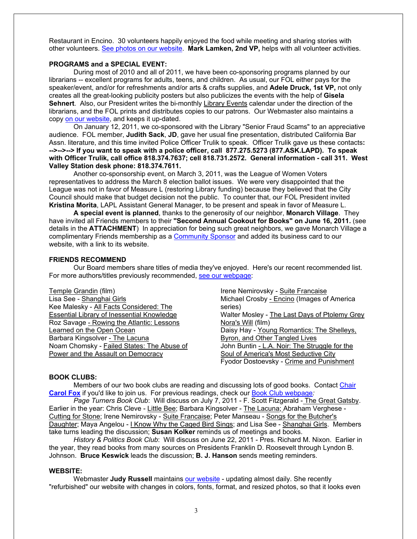Restaurant in Encino. 30 volunteers happily enjoyed the food while meeting and sharing stories with other volunteers. [See photos on our website.](http://www.etlibraryfriends.org/3photos.html) **Mark Lamken, 2nd VP,** helps with all volunteer activities.

### **PROGRAMS and a SPECIAL EVENT:**

During most of 2010 and all of 2011, we have been co-sponsoring programs planned by our librarians -- excellent programs for adults, teens, and children. As usual, our FOL either pays for the speaker/event, and/or for refreshments and/or arts & crafts supplies, and **Adele Druck, 1st VP,** not only creates all the great-looking publicity posters but also publicizes the events with the help of **Gisela Sehnert**. Also, our President writes the bi-monthly Library Events calendar under the direction of the librarians, and the FOL prints and distributes copies to our patrons. Our Webmaster also maintains a copy [on our website,](http://www.etlibraryfriends.org/4events.html) and keeps it up-dated.

On January 12, 2011, we co-sponsored with the Library "Senior Fraud Scams" to an appreciative audience. FOL member, **Judith Sack**, **JD**, gave her usual fine presentation, distributed California Bar Assn. literature, and this time invited Police Officer Trulik to speak. Officer Trulik gave us these contacts**: -->-->--> If you want to speak with a police officer, call 877.275.5273 (877.ASK.LAPD). To speak with Officer Trulik, call office 818.374.7637; cell 818.731.2572. General information - call 311. West Valley Station desk phone: 818.374.7611.**

Another co-sponsorship event, on March 3, 2011, was the League of Women Voters representatives to address the March 8 election ballot issues. We were very disappointed that the League was not in favor of Measure L (restoring Library funding) because they believed that the City Council should make that budget decision not the public. To counter that, our FOL President invited **Kristina Morita**, LAPL Assistant General Manager, to be present and speak in favor of Measure L.

**A special event is planned**, thanks to the generosity of our neighbor, **Monarch Village**. They have invited all Friends members to their **"Second Annual Cookout for Books" on June 16, 2011.** (see details in the **ATTACHMENT**) In appreciation for being such great neighbors, we gave Monarch Village a complimentary Friends membership as a [Community Sponsor](http://www.etlibraryfriends.org/3sponsors.html) and added its business card to our website, with a link to its website.

#### **FRIENDS RECOMMEND**

Our Board members share titles of media they've enjoyed. Here's our recent recommended list. For more authors/titles previously recommended, [see our webpage:](http://www.etlibraryfriends.org/3recommend.html)

| Temple Grandin (film)                             | Irene Nemirovsky - Suite Francaise            |
|---------------------------------------------------|-----------------------------------------------|
| Lisa See - Shanghai Girls                         | Michael Crosby - Encino (Images of America    |
| Kee Malesky - All Facts Considered: The           | series)                                       |
| <b>Essential Library of Inessential Knowledge</b> | Walter Mosley - The Last Days of Ptolemy Grey |
| Roz Savage - Rowing the Atlantic: Lessons         | Nora's Will (film)                            |
| Learned on the Open Ocean                         | Daisy Hay - Young Romantics: The Shelleys,    |
| Barbara Kingsolver - The Lacuna                   | Byron, and Other Tangled Lives                |
| Noam Chomsky - Failed States: The Abuse of        | John Buntin - L.A. Noir: The Struggle for the |
| Power and the Assault on Democracy                | Soul of America's Most Seductive City         |
|                                                   | Fyodor Dostoevsky - Crime and Punishment      |

#### **BOOK CLUBS:**

Members of our two book clubs are reading and discussing lots of good books. Contact [Chair](mailto:bookclubs@ETLibraryFriends.org)  **[Carol Fox](mailto:bookclubs@ETLibraryFriends.org)** if you'd like to join us. For previous readings, check our [Book Club webpage](http://www.etlibraryfriends.org/3bookclubs.html)*:* 

*Page Turners Book Club*: Will discuss on July 7, 2011 - F. Scott Fitzgerald - The Great Gatsby. Earlier in the year: Chris Cleve - Little Bee; Barbara Kingsolver - The Lacuna; Abraham Verghese - Cutting for Stone; Irene Nemirovsky - Suite Francaise; Peter Manseau - Songs for the Butcher's Daughter; Maya Angelou - I Know Why the Caged Bird Sings; and Lisa See - Shanghai Girls. Members take turns leading the discussion; **Susan Kolker** reminds us of meetings and books.

*History & Politics Book Club*: Will discuss on June 22, 2011 - Pres. Richard M. Nixon. Earlier in the year, they read books from many sources on Presidents Franklin D. Roosevelt through Lyndon B. Johnson. **Bruce Keswick** leads the discussion; **B. J. Hanson** sends meeting reminders.

#### **WEBSITE:**

Webmaster **Judy Russell** maintains [our website](http://www.etlibraryfriends.org/) - updating almost daily. She recently "refurbished" our website with changes in colors, fonts, format, and resized photos, so that it looks even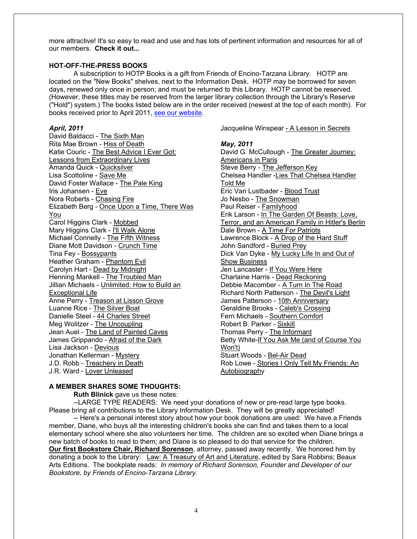more attractive! It's so easy to read and use and has lots of pertinent information and resources for all of our members. **Check it out...**

# **HOT-OFF-THE-PRESS BOOKS**

A subscription to HOTP Books is a gift from Friends of Encino-Tarzana Library. HOTP are located on the "New Books" shelves, next to the Information Desk. HOTP may be borrowed for seven days, renewed only once in person; and must be returned to this Library. HOTP cannot be reserved. (However, these titles may be reserved from the larger library collection through the Library's Reserve ("Hold") system.) The books listed below are in the order received (newest at the top of each month). For books received prior to April 2011, [see our website.](http://www.etlibraryfriends.org/2hotoffthepress.html)

### *April, 2011*

David Baldacci - The Sixth Man Rita Mae Brown - Hiss of Death Katie Couric - The Best Advice I Ever Got: Lessons from Extraordinary Lives Amanda Quick - Quicksilver Lisa Scottoline - Save Me David Foster Wallace - The Pale King Iris Johansen - Eve Nora Roberts - Chasing Fire Elizabeth Berg - Once Upon a Time, There Was You Carol Higgins Clark - Mobbed Mary Higgins Clark - I'll Walk Alone Michael Connelly - The Fifth Witness Diane Mott Davidson - Crunch Time Tina Fey - Bossypants Heather Graham - Phantom Evil Carolyn Hart - Dead by Midnight Henning Mankell - The Troubled Man Jillian Michaels - Unlimited: How to Build an Exceptional Life Anne Perry - Treason at Lisson Grove Luanne Rice - The Silver Boat Danielle Steel - 44 Charles Street Meg Wolitzer - The Uncoupling Jean Auel - The Land of Painted Caves James Grippando - Afraid of the Dark Lisa Jackson - Devious Jonathan Kellerman - Mystery J.D. Robb - Treachery in Death J.R. Ward - Lover Unleased

Jacqueline Winspear - A Lesson in Secrets

### *May, 2011*

David G. McCullough - The Greater Journey: Americans in Paris Steve Berry - The Jefferson Key Chelsea Handler -Lies That Chelsea Handler Told Me Eric Van Lustbader - Blood Trust Jo Nesbo - The Snowman Paul Reiser - Familyhood Erik Larson - In The Garden Of Beasts: Love, Terror, and an American Family in Hitler's Berlin Dale Brown - A Time For Patriots Lawrence Block - A Drop of the Hard Stuff John Sandford - Buried Prey Dick Van Dyke - My Lucky Life In and Out of Show Business Jen Lancaster - If You Were Here Charlaine Harris - Dead Reckoning Debbie Macomber - A Turn In The Road Richard North Patterson - The Devil's Light James Patterson - 10th Anniversary Geraldine Brooks - Caleb's Crossing Fern Michaels - Southern Comfort Robert B. Parker - Sixkill Thomas Perry - The Informant Betty White-If You Ask Me (and of Course You Won't) Stuart Woods - Bel-Air Dead Rob Lowe - Stories I Only Tell My Friends: An Autobiography

# **A MEMBER SHARES SOME THOUGHTS:**

**Ruth Blinick** gave us these notes:

--LARGE TYPE READERS: We need your donations of new or pre-read large type books. Please bring all contributions to the Library Information Desk. They will be greatly appreciated!

-- Here's a personal interest story about how your book donations are used: We have a Friends member, Diane, who buys all the interesting children's books she can find and takes them to a local elementary school where she also volunteers her time. The children are so excited when Diane brings a new batch of books to read to them; and Diane is so pleased to do that service for the children. **Our first Bookstore Chair, Richard Sorenson**, attorney, passed away recently. We honored him by donating a book to the Library: Law: A Treasury of Art and Literature, edited by Sara Robbins; Beaux Arts Editions. The bookplate reads: *In memory of Richard Sorenson, Founder and Developer of our Bookstore, by Friends of Encino-Tarzana Library.*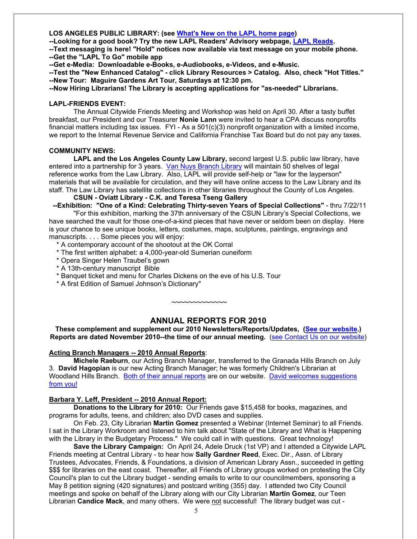# **LOS ANGELES PUBLIC LIBRARY: (see [What's New on the LAPL home page\)](http://www.lapl.org/)**

**--Looking for a good book? Try the new LAPL Readers' Advisory webpage, [LAPL Reads.](http://www.lapl.org/LAPLreads/)** 

**--Text messaging is here! "Hold" notices now available via text message on your mobile phone. --Get the "LAPL To Go" mobile app**

**--Get e-Media: Downloadable e-Books, e-Audiobooks, e-Videos, and e-Music.**

**--Test the "New Enhanced Catalog" - click Library Resources > Catalog. Also, check "Hot Titles." --New Tour: Maguire Gardens Art Tour, Saturdays at 12:30 pm.**

**--Now Hiring Librarians! The Library is accepting applications for "as-needed" Librarians.**

## **LAPL-FRIENDS EVENT:**

The Annual Citywide Friends Meeting and Workshop was held on April 30. After a tasty buffet breakfast, our President and our Treasurer **Nonie Lann** were invited to hear a CPA discuss nonprofits financial matters including tax issues. FYI - As a 501(c)(3) nonprofit organization with a limited income, we report to the Internal Revenue Service and California Franchise Tax Board but do not pay any taxes.

# **COMMUNITY NEWS:**

**LAPL and the Los Angeles County Law Library,** second largest U.S. public law library, have entered into a partnership for 3 years. [Van Nuys Branch Library](http://www.lapl.org/branches/Branch.php?bID=23) will maintain 50 shelves of legal reference works from the Law Library. Also, LAPL will provide self-help or "law for the layperson" materials that will be available for circulation, and they will have online access to the Law Library and its staff. The Law Library has satellite collections in other libraries throughout the County of Los Angeles.

**CSUN - Oviatt Library - C.K. and Teresa Tseng Gallery**

 **--Exhibition: "One of a Kind: Celebrating Thirty-seven Years of Special Collections"** - thru 7/22/11 "For this exhibition, marking the 37th anniversary of the CSUN Library's Special Collections, we have searched the vault for those one-of-a-kind pieces that have never or seldom been on display. Here is your chance to see unique books, letters, costumes, maps, sculptures, paintings, engravings and manuscripts. . . . Some pieces you will enjoy:

- \* A contemporary account of the shootout at the OK Corral
- \* The first written alphabet: a 4,000-year-old Sumerian cuneiform
- \* Opera Singer Helen Traubel's gown
- \* A 13th-century manuscript Bible
- \* Banquet ticket and menu for Charles Dickens on the eve of his U.S. Tour
- \* A first Edition of Samuel Johnson's Dictionary"

# **ANNUAL REPORTS FOR 2010**

**~~~~~~~~~~~~~**

**These complement and supplement our 2010 Newsletters/Reports/Updates, [\(See our website.](http://www.etlibraryfriends.org/3newsletter.html)) Reports are dated November 2010--the time of our annual meeting.** [\(see Contact Us on our website\)](http://www.etlibraryfriends.org/3contactus.html)

# **Acting Branch Managers -- 2010 Annual Reports**:

**Michele Raeburn**, our Acting Branch Manager, transferred to the Granada Hills Branch on July 3. **David Hagopian** is our new Acting Branch Manager; he was formerly Children's Librarian at Woodland Hills Branch. [Both of their annual reports](http://www.etlibraryfriends.org/2librarian.html) are on our website. [David welcomes suggestions](mailto:hagopian@lapl.org)  [from you!](mailto:hagopian@lapl.org)

# **Barbara Y. Leff, President -- 2010 Annual Report:**

**Donations to the Library for 2010:** Our Friends gave \$15,458 for books, magazines, and programs for adults, teens, and children; also DVD cases and supplies.

On Feb. 23, City Librarian **Martin Gomez** presented a Webinar (Internet Seminar) to all Friends. I sat in the Library Workroom and listened to him talk about "State of the Library and What is Happening with the Library in the Budgetary Process." We could call in with questions. Great technology!

**Save the Library Campaign:** On April 24, Adele Druck (1st VP) and I attended a Citywide LAPL Friends meeting at Central Library - to hear how **Sally Gardner Reed**, Exec. Dir., Assn. of Library Trustees, Advocates, Friends, & Foundations, a division of American Library Assn., succeeded in getting \$\$\$ for libraries on the east coast. Thereafter, all Friends of Library groups worked on protesting the City Council's plan to cut the Library budget - sending emails to write to our councilmembers, sponsoring a May 8 petition signing (420 signatures) and postcard writing (355) day. I attended two City Council meetings and spoke on behalf of the Library along with our City Librarian **Martin Gomez**, our Teen Librarian **Candice Mack**, and many others. We were not successful! The library budget was cut -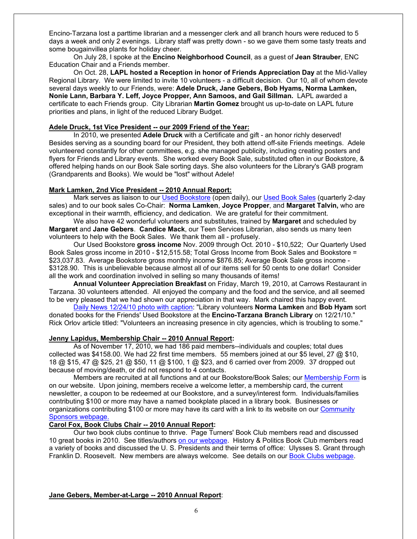Encino-Tarzana lost a parttime librarian and a messenger clerk and all branch hours were reduced to 5 days a week and only 2 evenings. Library staff was pretty down - so we gave them some tasty treats and some bougainvillea plants for holiday cheer.

On July 28, I spoke at the **Encino Neighborhood Council**, as a guest of **Jean Strauber**, ENC Education Chair and a Friends member.

On Oct. 28, **LAPL hosted a Reception in honor of Friends Appreciation Day** at the Mid-Valley Regional Library. We were limited to invite 10 volunteers - a difficult decision. Our 10, all of whom devote several days weekly to our Friends, were: **Adele Druck, Jane Gebers, Bob Hyams, Norma Lamken, Nonie Lann, Barbara Y. Leff, Joyce Propper, Ann Samoos, and Gail Sillman.** LAPL awarded a certificate to each Friends group. City Librarian **Martin Gomez** brought us up-to-date on LAPL future priorities and plans, in light of the reduced Library Budget.

## **Adele Druck, 1st Vice President -- our 2009 Friend of the Year:**

In 2010, we presented **Adele Druck** with a Certificate and gift - an honor richly deserved! Besides serving as a sounding board for our President, they both attend off-site Friends meetings. Adele volunteered constantly for other committees, e.g. she managed publicity, including creating posters and flyers for Friends and Library events. She worked every Book Sale, substituted often in our Bookstore, & offered helping hands on our Book Sale sorting days. She also volunteers for the Library's GAB program (Grandparents and Books). We would be "lost" without Adele!

#### **Mark Lamken, 2nd Vice President -- 2010 Annual Report:**

Mark serves as liaison to our [Used Bookstore](http://www.etlibraryfriends.org/3usedbookstore.html) (open daily), our [Used Book Sales](http://www.etlibraryfriends.org/3usedbooksales.html) (quarterly 2-day sales) and to our book sales Co-Chair: **Norma Lamken**, **Joyce Propper**, and **Margaret Talvin,** who are exceptional in their warmth, efficiency, and dedication. We are grateful for their commitment.

We also have 42 wonderful volunteers and substitutes, trained by **Margaret** and scheduled by **Margaret** and **Jane Gebers**. **Candice Mack**, our Teen Services Librarian, also sends us many teen volunteers to help with the Book Sales. We thank them all - profusely.

Our Used Bookstore **gross income** Nov. 2009 through Oct. 2010 - \$10,522; Our Quarterly Used Book Sales gross income in 2010 - \$12,515.58; Total Gross Income from Book Sales and Bookstore = \$23,037.83. Average Bookstore gross monthly income \$876.85; Average Book Sale gross income -\$3128.90. This is unbelievable because almost all of our items sell for 50 cents to one dollar! Consider all the work and coordination involved in selling so many thousands of items!

**Annual Volunteer Appreciation Breakfast** on Friday, March 19, 2010, at Carrows Restaurant in Tarzana. 30 volunteers attended. All enjoyed the company and the food and the service, and all seemed to be very pleased that we had shown our appreciation in that way. Mark chaired this happy event.

[Daily News 12/24/10 photo with caption:](http://www.dailynews.com/ci_16937446) "Library volunteers **Norma Lamken** and **Bob Hyam** sort donated books for the Friends' Used Bookstore at the **Encino-Tarzana Branch Library** on 12/21/10." Rick Orlov article titled: "Volunteers an increasing presence in city agencies, which is troubling to some."

# **Jenny Lapidus, Membership Chair -- 2010 Annual Report:**

As of November 17, 2010, we had 186 paid members--individuals and couples; total dues collected was \$4158.00. We had 22 first time members. 55 members joined at our \$5 level, 27  $\omega$  \$10, 18 @ \$15, 47 @ \$25, 21 @ \$50, 11 @ \$100, 1 @ \$23, and 6 carried over from 2009. 37 dropped out because of moving/death, or did not respond to 4 contacts.

Members are recruited at all functions and at our Bookstore/Book Sales; our [Membership Form](http://www.etlibraryfriends.org/3joinus.html) is on our website. Upon joining, members receive a welcome letter, a membership card, the current newsletter, a coupon to be redeemed at our Bookstore, and a survey/interest form. Individuals/families contributing \$100 or more may have a named bookplate placed in a library book. Businesses or organizations contributing \$100 or more may have its card with a link to its website on our [Community](http://www.etlibraryfriends.org/3sponsors.html)  [Sponsors webpage.](http://www.etlibraryfriends.org/3sponsors.html)

# **Carol Fox, Book Clubs Chair -- 2010 Annual Report:**

Our two book clubs continue to thrive. Page Turners' Book Club members read and discussed 10 great books in 2010. See titles/authors [on our webpage.](http://www.etlibraryfriends.org/3pageturners.html) History & Politics Book Club members read a variety of books and discussed the U. S. Presidents and their terms of office: Ulysses S. Grant through Franklin D. Roosevelt. New members are always welcome. See details on our [Book Clubs webpage.](http://www.etlibraryfriends.org/3bookclubs.html)